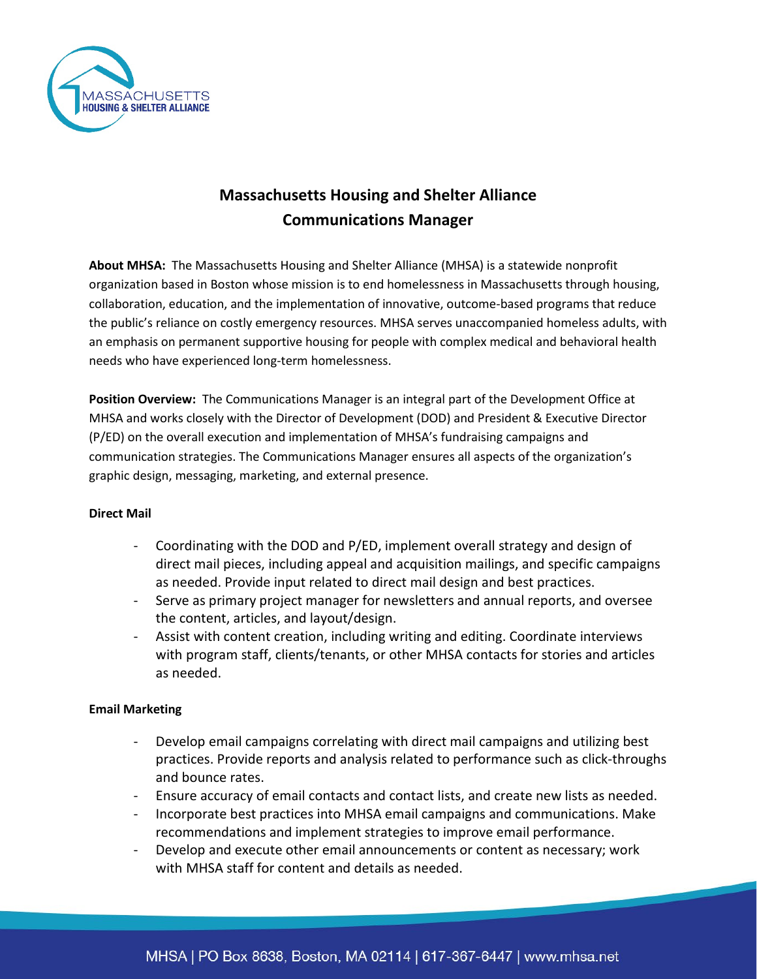

# **Massachusetts Housing and Shelter Alliance Communications Manager**

**About MHSA:** The Massachusetts Housing and Shelter Alliance (MHSA) is a statewide nonprofit organization based in Boston whose mission is to end homelessness in Massachusetts through housing, collaboration, education, and the implementation of innovative, outcome-based programs that reduce the public's reliance on costly emergency resources. MHSA serves unaccompanied homeless adults, with an emphasis on permanent supportive housing for people with complex medical and behavioral health needs who have experienced long-term homelessness.

**Position Overview:** The Communications Manager is an integral part of the Development Office at MHSA and works closely with the Director of Development (DOD) and President & Executive Director (P/ED) on the overall execution and implementation of MHSA's fundraising campaigns and communication strategies. The Communications Manager ensures all aspects of the organization's graphic design, messaging, marketing, and external presence.

### **Direct Mail**

- Coordinating with the DOD and P/ED, implement overall strategy and design of direct mail pieces, including appeal and acquisition mailings, and specific campaigns as needed. Provide input related to direct mail design and best practices.
- Serve as primary project manager for newsletters and annual reports, and oversee the content, articles, and layout/design.
- Assist with content creation, including writing and editing. Coordinate interviews with program staff, clients/tenants, or other MHSA contacts for stories and articles as needed.

## **Email Marketing**

- Develop email campaigns correlating with direct mail campaigns and utilizing best practices. Provide reports and analysis related to performance such as click-throughs and bounce rates.
- Ensure accuracy of email contacts and contact lists, and create new lists as needed.
- Incorporate best practices into MHSA email campaigns and communications. Make recommendations and implement strategies to improve email performance.
- Develop and execute other email announcements or content as necessary; work with MHSA staff for content and details as needed.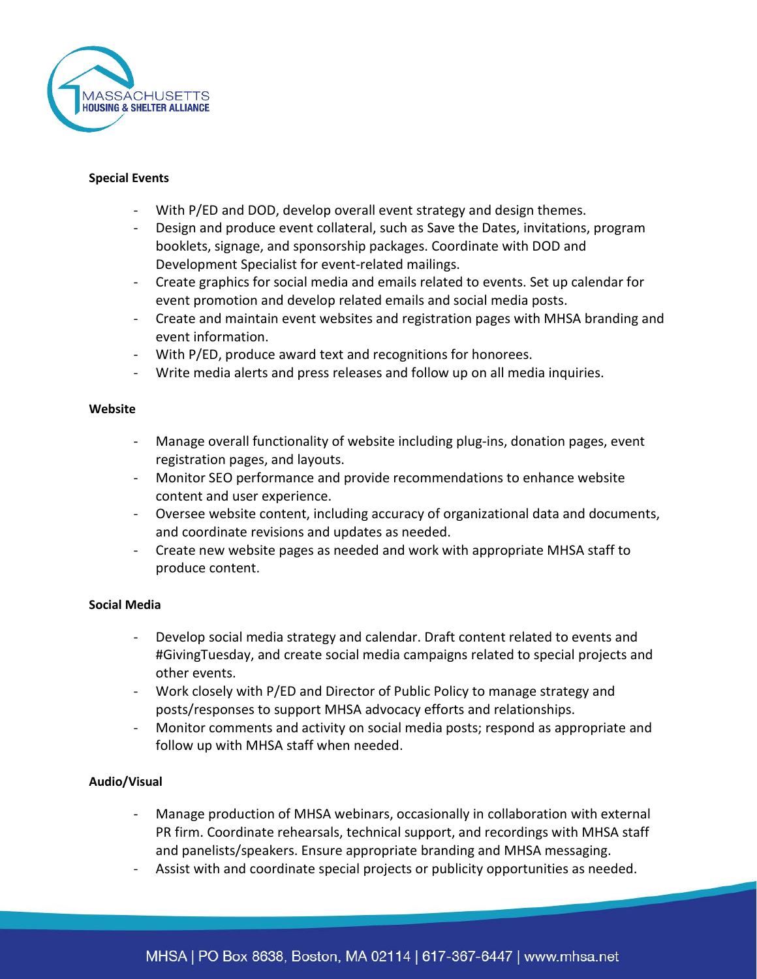

#### **Special Events**

- With P/ED and DOD, develop overall event strategy and design themes.
- Design and produce event collateral, such as Save the Dates, invitations, program booklets, signage, and sponsorship packages. Coordinate with DOD and Development Specialist for event-related mailings.
- Create graphics for social media and emails related to events. Set up calendar for event promotion and develop related emails and social media posts.
- Create and maintain event websites and registration pages with MHSA branding and event information.
- With P/ED, produce award text and recognitions for honorees.
- Write media alerts and press releases and follow up on all media inquiries.

#### **Website**

- Manage overall functionality of website including plug-ins, donation pages, event registration pages, and layouts.
- Monitor SEO performance and provide recommendations to enhance website content and user experience.
- Oversee website content, including accuracy of organizational data and documents, and coordinate revisions and updates as needed.
- Create new website pages as needed and work with appropriate MHSA staff to produce content.

### **Social Media**

- Develop social media strategy and calendar. Draft content related to events and #GivingTuesday, and create social media campaigns related to special projects and other events.
- Work closely with P/ED and Director of Public Policy to manage strategy and posts/responses to support MHSA advocacy efforts and relationships.
- Monitor comments and activity on social media posts; respond as appropriate and follow up with MHSA staff when needed.

### **Audio/Visual**

- Manage production of MHSA webinars, occasionally in collaboration with external PR firm. Coordinate rehearsals, technical support, and recordings with MHSA staff and panelists/speakers. Ensure appropriate branding and MHSA messaging.
- Assist with and coordinate special projects or publicity opportunities as needed.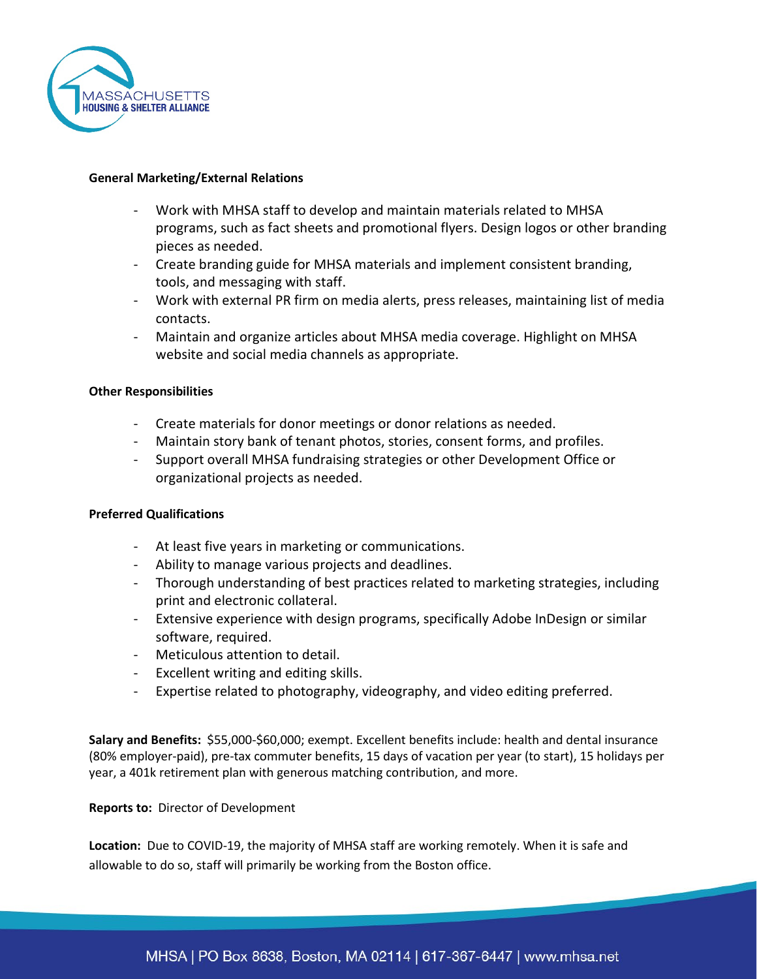

### **General Marketing/External Relations**

- Work with MHSA staff to develop and maintain materials related to MHSA programs, such as fact sheets and promotional flyers. Design logos or other branding pieces as needed.
- Create branding guide for MHSA materials and implement consistent branding, tools, and messaging with staff.
- Work with external PR firm on media alerts, press releases, maintaining list of media contacts.
- Maintain and organize articles about MHSA media coverage. Highlight on MHSA website and social media channels as appropriate.

### **Other Responsibilities**

- Create materials for donor meetings or donor relations as needed.
- Maintain story bank of tenant photos, stories, consent forms, and profiles.
- Support overall MHSA fundraising strategies or other Development Office or organizational projects as needed.

### **Preferred Qualifications**

- At least five years in marketing or communications.
- Ability to manage various projects and deadlines.
- Thorough understanding of best practices related to marketing strategies, including print and electronic collateral.
- Extensive experience with design programs, specifically Adobe InDesign or similar software, required.
- Meticulous attention to detail.
- Excellent writing and editing skills.
- Expertise related to photography, videography, and video editing preferred.

**Salary and Benefits:** \$55,000-\$60,000; exempt. Excellent benefits include: health and dental insurance (80% employer-paid), pre-tax commuter benefits, 15 days of vacation per year (to start), 15 holidays per year, a 401k retirement plan with generous matching contribution, and more.

### **Reports to:** Director of Development

**Location:** Due to COVID-19, the majority of MHSA staff are working remotely. When it is safe and allowable to do so, staff will primarily be working from the Boston office.